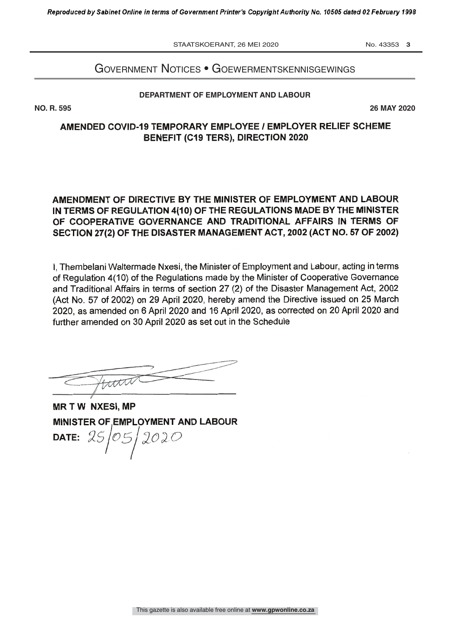STAATSKOERANT, 26 MEI 2020 No. 43353 3

# Government notices • GoewermentskennisGewinGs

#### DEPARTMENT OF EMPLOYMENT AND LABOUR **DEPARTMENT OF EMPLOYMENT AND LABOUR**

**NO. R. 595 26 MAY 2020**

### AMENDED COVID-19 TEMPORARY EMPLOYEE / EMPLOYER RELIEF SCHEME BENEFIT (C19 TERS), DIRECTION 2020

## AMENDMENT OF DIRECTIVE BY THE MINISTER OF EMPLOYMENT AND LABOUR IN TERMS OF REGULATION 4(10) OF THE REGULATIONS MADE BY THE MINISTER OF COOPERATIVE GOVERNANCE AND TRADITIONAL AFFAIRS IN TERMS OF SECTION 27(2) OF THE DISASTER MANAGEMENT ACT, 2002 (ACT NO. 57 OF 2002)

I, Thembelani Waltermade Nxesi, the Minister of Employment and Labour, acting in terms of Regulation 4(10) of the Regulations made by the Minister of Cooperative Governance and Traditional Affairs in terms of section 27 (2) of the Disaster Management Act, 2002 (Act No. 57 of 2002) on 29 April 2020, hereby amend the Directive issued on 25 March 2020, as amended on 6 April 2020 and 16 April 2020, as corrected on 20 April 2020 and further amended on 30 April 2020 as set out in the Schedule

trent

MR T W NXESI, MP MINISTER OF EMPLOYMENT AND LABOUR date:  $25/05/2020$